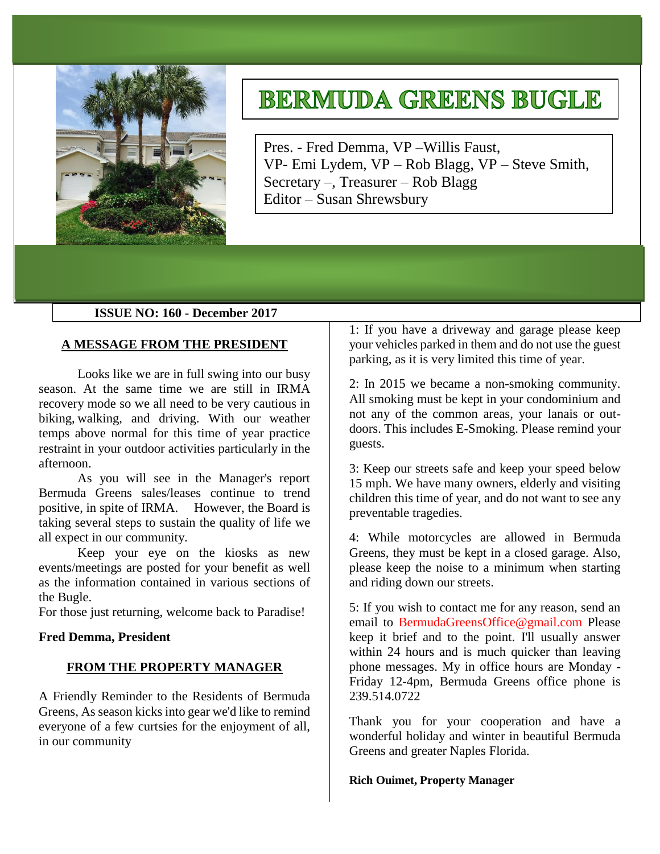

# **BERMUDA GREENS BUGLE**

Pres. - Fred Demma, VP –Willis Faust, VP- Emi Lydem, VP – Rob Blagg, VP – Steve Smith, Secretary –, Treasurer – Rob Blagg Editor – Susan Shrewsbury

# **ISSUE NO: 160 - December 2017**

# **A MESSAGE FROM THE PRESIDENT**

Looks like we are in full swing into our busy season. At the same time we are still in IRMA recovery mode so we all need to be very cautious in biking, walking, and driving. With our weather temps above normal for this time of year practice restraint in your outdoor activities particularly in the afternoon.

As you will see in the Manager's report Bermuda Greens sales/leases continue to trend positive, in spite of IRMA. However, the Board is taking several steps to sustain the quality of life we all expect in our community.

Keep your eye on the kiosks as new events/meetings are posted for your benefit as well as the information contained in various sections of the Bugle.

For those just returning, welcome back to Paradise!

#### **Fred Demma, President**

#### **FROM THE PROPERTY MANAGER**

A Friendly Reminder to the Residents of Bermuda Greens, As season kicks into gear we'd like to remind everyone of a few curtsies for the enjoyment of all, in our community

1: If you have a driveway and garage please keep your vehicles parked in them and do not use the guest parking, as it is very limited this time of year.

2: In 2015 we became a non-smoking community. All smoking must be kept in your condominium and not any of the common areas, your lanais or outdoors. This includes E-Smoking. Please remind your guests.

3: Keep our streets safe and keep your speed below 15 mph. We have many owners, elderly and visiting children this time of year, and do not want to see any preventable tragedies.

4: While motorcycles are allowed in Bermuda Greens, they must be kept in a closed garage. Also, please keep the noise to a minimum when starting and riding down our streets.

5: If you wish to contact me for any reason, send an email to BermudaGreensOffice@gmail.com Please keep it brief and to the point. I'll usually answer within 24 hours and is much quicker than leaving phone messages. My in office hours are Monday - Friday 12-4pm, Bermuda Greens office phone is 239.514.0722

Thank you for your cooperation and have a wonderful holiday and winter in beautiful Bermuda Greens and greater Naples Florida.

#### **Rich Ouimet, Property Manager**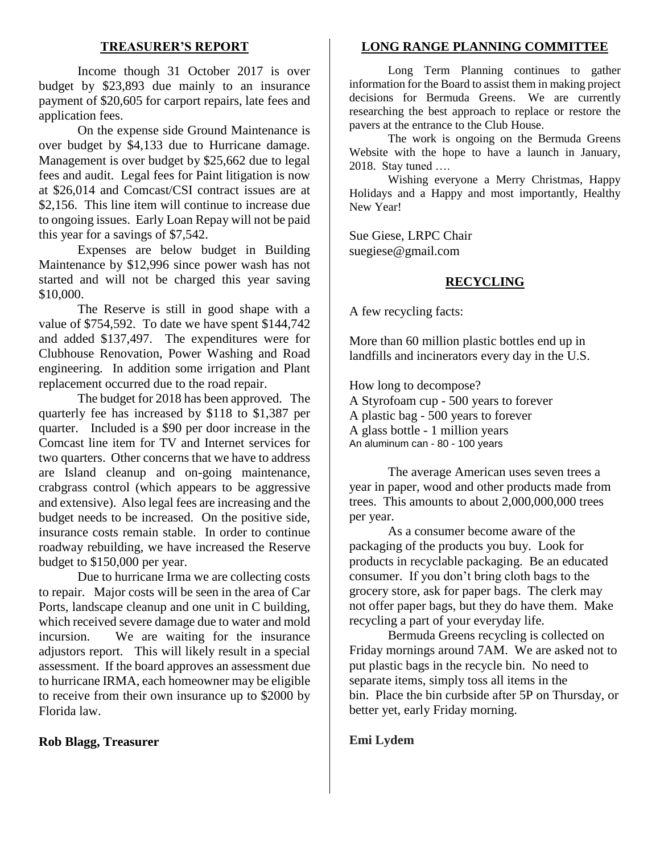# **TREASURER'S REPORT**

Income though 31 October 2017 is over budget by \$23,893 due mainly to an insurance payment of \$20,605 for carport repairs, late fees and application fees.

On the expense side Ground Maintenance is over budget by \$4,133 due to Hurricane damage. Management is over budget by \$25,662 due to legal fees and audit. Legal fees for Paint litigation is now at \$26,014 and Comcast/CSI contract issues are at \$2,156. This line item will continue to increase due to ongoing issues. Early Loan Repay will not be paid this year for a savings of \$7,542.

Expenses are below budget in Building Maintenance by \$12,996 since power wash has not started and will not be charged this year saving \$10,000.

The Reserve is still in good shape with a value of \$754,592. To date we have spent \$144,742 and added \$137,497. The expenditures were for Clubhouse Renovation, Power Washing and Road engineering. In addition some irrigation and Plant replacement occurred due to the road repair.

The budget for 2018 has been approved. The quarterly fee has increased by \$118 to \$1,387 per quarter. Included is a \$90 per door increase in the Comcast line item for TV and Internet services for two quarters. Other concerns that we have to address are Island cleanup and on-going maintenance, crabgrass control (which appears to be aggressive and extensive). Also legal fees are increasing and the budget needs to be increased. On the positive side, insurance costs remain stable. In order to continue roadway rebuilding, we have increased the Reserve budget to \$150,000 per year.

Due to hurricane Irma we are collecting costs to repair. Major costs will be seen in the area of Car Ports, landscape cleanup and one unit in C building, which received severe damage due to water and mold incursion. We are waiting for the insurance adjustors report. This will likely result in a special assessment. If the board approves an assessment due to hurricane IRMA, each homeowner may be eligible to receive from their own insurance up to \$2000 by Florida law.

## **Rob Blagg, Treasurer**

#### **LONG RANGE PLANNING COMMITTEE**

Long Term Planning continues to gather information for the Board to assist them in making project decisions for Bermuda Greens. We are currently researching the best approach to replace or restore the pavers at the entrance to the Club House.

The work is ongoing on the Bermuda Greens Website with the hope to have a launch in January, 2018. Stay tuned ….

Wishing everyone a Merry Christmas, Happy Holidays and a Happy and most importantly, Healthy New Year!

Sue Giese, LRPC Chair suegiese@gmail.com

#### **RECYCLING**

A few recycling facts:

More than 60 million plastic bottles end up in landfills and incinerators every day in the U.S.

How long to decompose? A Styrofoam cup - 500 years to forever A plastic bag - 500 years to forever A glass bottle - 1 million years

An aluminum can - 80 - 100 years

The average American uses seven trees a year in paper, wood and other products made from trees. This amounts to about 2,000,000,000 trees per year.

As a consumer become aware of the packaging of the products you buy. Look for products in recyclable packaging. Be an educated consumer. If you don't bring cloth bags to the grocery store, ask for paper bags. The clerk may not offer paper bags, but they do have them. Make recycling a part of your everyday life.

Bermuda Greens recycling is collected on Friday mornings around 7AM. We are asked not to put plastic bags in the recycle bin. No need to separate items, simply toss all items in the bin. Place the bin curbside after 5P on Thursday, or better yet, early Friday morning.

#### **Emi Lydem**